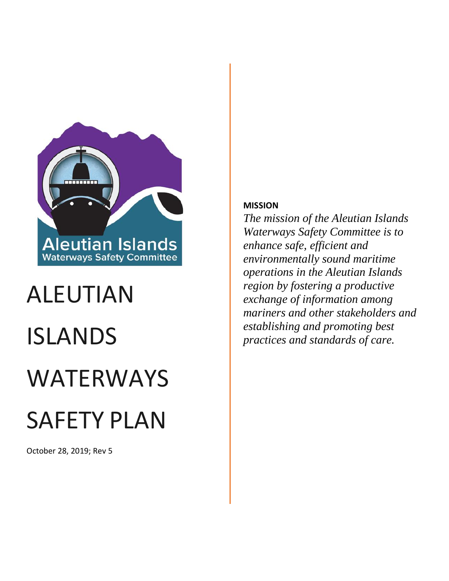

# ALEUTIAN ISLANDS WATERWAYS SAFETY PLAN

October 28, 2019; Rev 5

#### **MISSION**

*The mission of the Aleutian Islands Waterways Safety Committee is to enhance safe, efficient and environmentally sound maritime operations in the Aleutian Islands region by fostering a productive exchange of information among mariners and other stakeholders and establishing and promoting best practices and standards of care.*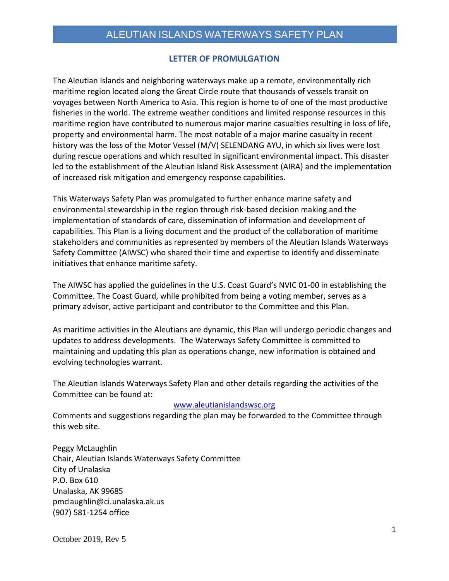#### **LETTER OF PROMULGATION**

<span id="page-1-0"></span>The Aleutian Islands and neighboring waterways make up a remote, environmentally rich maritime region located along the Great Circle route that thousands of vessels transit on voyages between North America to Asia. This region is home to of one of the most productive fisheries in the world. The extreme weather conditions and limited response resources in this maritime region have contributed to numerous major marine casualties resulting in loss of life, property and environmental harm. The most notable of a major marine casualty in recent history was the loss of the Motor Vessel (M/V) SELENDANG AYU, in which six lives were lost during rescue operations and which resulted in significant environmental impact. This disaster led to the establishment of the Aleutian Island Risk Assessment (AIRA) and the implementation of increased risk mitigation and emergency response capabilities.

This Waterways Safety Plan was promulgated to further enhance marine safety and environmental stewardship in the region through risk-based decision making and the implementation of standards of care, dissemination of information and development of capabilities. This Plan is a living document and the product of the collaboration of maritime stakeholders and communities as represented by members of the Aleutian Islands Waterways Safety Committee (AIWSC) who shared their time and expertise to identify and disseminate initiatives that enhance maritime safety.

The AIWSC has applied the guidelines in the U.S. Coast Guard's NVIC 01-00 in establishing the Committee. The Coast Guard, while prohibited from being a voting member, serves as a primary advisor, active participant and contributor to the Committee and this Plan.

As maritime activities in the Aleutians are dynamic, this Plan will undergo periodic changes and updates to address developments. The Waterways Safety Committee is committed to maintaining and updating this plan as operations change, new information is obtained and evolving technologies warrant.

The Aleutian Islands Waterways Safety Plan and other details regarding the activities of the Committee can be found at:

#### [www.aleutianislandswsc.org](http://www.aleutianislandswsc.org/)

Comments and suggestions regarding the plan may be forwarded to the Committee through this web site.

Peggy McLaughlin Chair, Aleutian Islands Waterways Safety Committee City of Unalaska P.O. Box 610 Unalaska, AK 99685 pmclaughlin@ci.unalaska.ak.us (907) 581-1254 office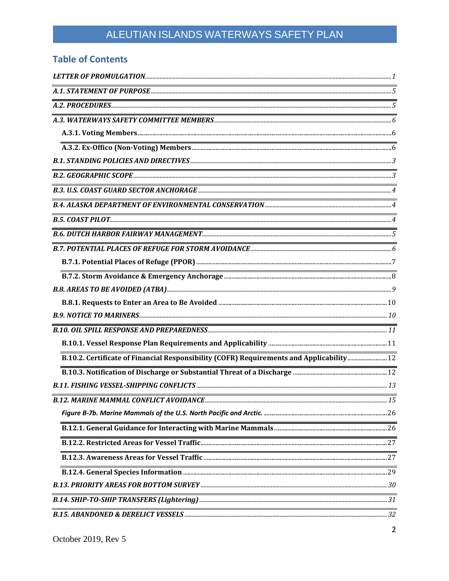# ALEUTIAN ISLANDS WATERWAYS SAFETY PLAN

### **Table of Contents**

| <u> 1989 - Johann Stoff, deutscher Stoffen und der Stoffen und der Stoffen und der Stoffen und der Stoffen und der</u> |    |
|------------------------------------------------------------------------------------------------------------------------|----|
|                                                                                                                        |    |
|                                                                                                                        |    |
|                                                                                                                        |    |
|                                                                                                                        |    |
|                                                                                                                        |    |
|                                                                                                                        |    |
|                                                                                                                        |    |
|                                                                                                                        |    |
|                                                                                                                        |    |
|                                                                                                                        |    |
|                                                                                                                        |    |
|                                                                                                                        |    |
|                                                                                                                        |    |
|                                                                                                                        |    |
|                                                                                                                        |    |
|                                                                                                                        |    |
|                                                                                                                        |    |
|                                                                                                                        | 15 |
|                                                                                                                        |    |
|                                                                                                                        |    |
|                                                                                                                        |    |
|                                                                                                                        |    |
|                                                                                                                        |    |
|                                                                                                                        |    |
|                                                                                                                        |    |
|                                                                                                                        |    |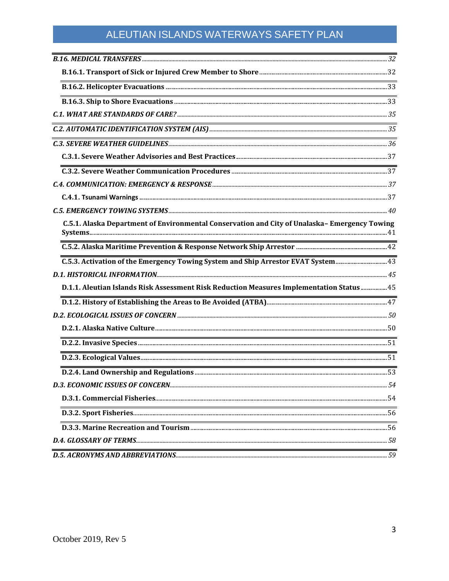# ALEUTIAN ISLANDS WATERWAYS SAFETY PLAN

| <u> 1989 - Johann Barn, mars ann an t-Amhain ann an t-Amhain ann an t-Amhain ann an t-Amhain an t-Amhain ann an t-</u> |    |
|------------------------------------------------------------------------------------------------------------------------|----|
|                                                                                                                        |    |
|                                                                                                                        |    |
| <u> 1989 - Johann Barn, mars ann an t-Amhain ann an t-Amhain ann an t-Amhain ann an t-Amhain an t-Amhain ann an t-</u> |    |
|                                                                                                                        |    |
|                                                                                                                        |    |
|                                                                                                                        |    |
| <u> 1980 - Johann Stone, Amerikaansk politiker (* 1918)</u>                                                            |    |
|                                                                                                                        |    |
|                                                                                                                        |    |
|                                                                                                                        |    |
| C.5.1. Alaska Department of Environmental Conservation and City of Unalaska-Emergency Towing                           |    |
|                                                                                                                        |    |
|                                                                                                                        |    |
|                                                                                                                        |    |
| D.1.1. Aleutian Islands Risk Assessment Risk Reduction Measures Implementation Status 45                               |    |
|                                                                                                                        |    |
|                                                                                                                        |    |
|                                                                                                                        |    |
|                                                                                                                        |    |
|                                                                                                                        |    |
|                                                                                                                        |    |
|                                                                                                                        |    |
|                                                                                                                        |    |
|                                                                                                                        |    |
| <u> 1989 - Johann Barn, amerikansk politiker (d. 1989)</u>                                                             |    |
|                                                                                                                        |    |
| D.5. ACRONYMS AND ABBREVIATIONS                                                                                        | 59 |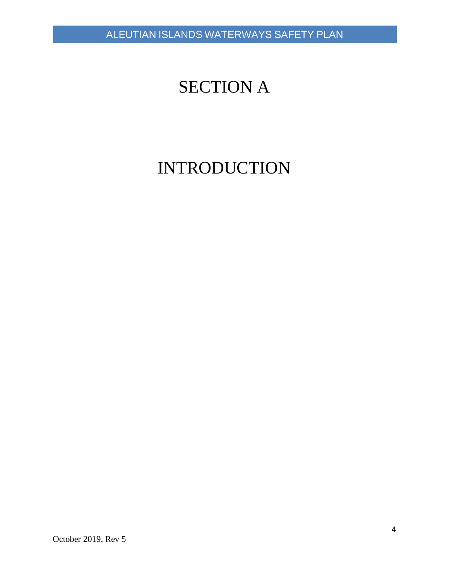# SECTION A

# INTRODUCTION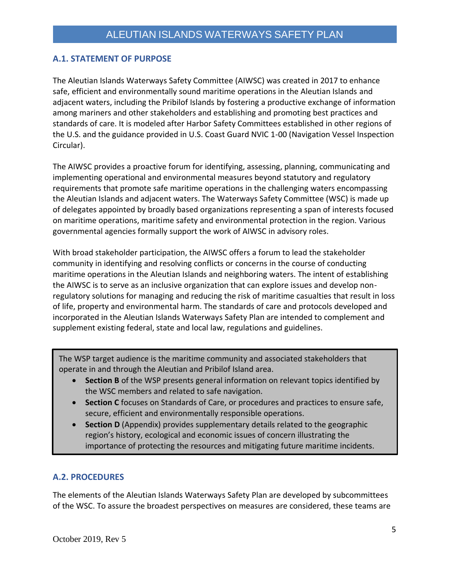#### <span id="page-5-0"></span>**A.1. STATEMENT OF PURPOSE**

The Aleutian Islands Waterways Safety Committee (AIWSC) was created in 2017 to enhance safe, efficient and environmentally sound maritime operations in the Aleutian Islands and adjacent waters, including the Pribilof Islands by fostering a productive exchange of information among mariners and other stakeholders and establishing and promoting best practices and standards of care. It is modeled after Harbor Safety Committees established in other regions of the U.S. and the guidance provided in U.S. Coast Guard NVIC 1-00 (Navigation Vessel Inspection Circular).

The AIWSC provides a proactive forum for identifying, assessing, planning, communicating and implementing operational and environmental measures beyond statutory and regulatory requirements that promote safe maritime operations in the challenging waters encompassing the Aleutian Islands and adjacent waters. The Waterways Safety Committee (WSC) is made up of delegates appointed by broadly based organizations representing a span of interests focused on maritime operations, maritime safety and environmental protection in the region. Various governmental agencies formally support the work of AIWSC in advisory roles.

With broad stakeholder participation, the AIWSC offers a forum to lead the stakeholder community in identifying and resolving conflicts or concerns in the course of conducting maritime operations in the Aleutian Islands and neighboring waters. The intent of establishing the AIWSC is to serve as an inclusive organization that can explore issues and develop nonregulatory solutions for managing and reducing the risk of maritime casualties that result in loss of life, property and environmental harm. The standards of care and protocols developed and incorporated in the Aleutian Islands Waterways Safety Plan are intended to complement and supplement existing federal, state and local law, regulations and guidelines.

The WSP target audience is the maritime community and associated stakeholders that operate in and through the Aleutian and Pribilof Island area.

- **Section B** of the WSP presents general information on relevant topics identified by the WSC members and related to safe navigation.
- **Section C** focuses on Standards of Care, or procedures and practices to ensure safe, secure, efficient and environmentally responsible operations.
- **Section D** (Appendix) provides supplementary details related to the geographic region's history, ecological and economic issues of concern illustrating the importance of protecting the resources and mitigating future maritime incidents.

#### <span id="page-5-1"></span>**A.2. PROCEDURES**

The elements of the Aleutian Islands Waterways Safety Plan are developed by subcommittees of the WSC. To assure the broadest perspectives on measures are considered, these teams are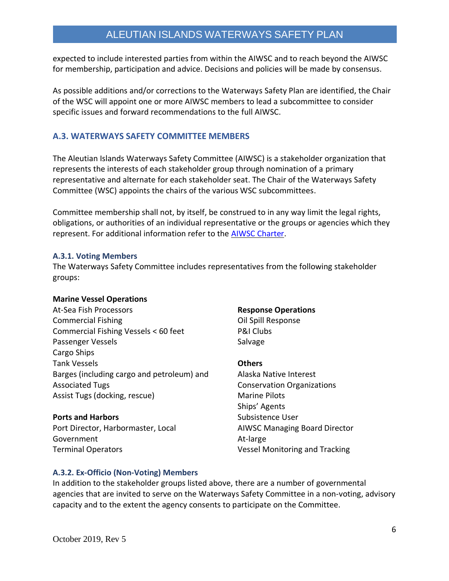expected to include interested parties from within the AIWSC and to reach beyond the AIWSC for membership, participation and advice. Decisions and policies will be made by consensus.

As possible additions and/or corrections to the Waterways Safety Plan are identified, the Chair of the WSC will appoint one or more AIWSC members to lead a subcommittee to consider specific issues and forward recommendations to the full AIWSC.

#### <span id="page-6-0"></span>**A.3. WATERWAYS SAFETY COMMITTEE MEMBERS**

The Aleutian Islands Waterways Safety Committee (AIWSC) is a stakeholder organization that represents the interests of each stakeholder group through nomination of a primary representative and alternate for each stakeholder seat. The Chair of the Waterways Safety Committee (WSC) appoints the chairs of the various WSC subcommittees.

Committee membership shall not, by itself, be construed to in any way limit the legal rights, obligations, or authorities of an individual representative or the groups or agencies which they represent. For additional information refer to the [AIWSC Charter.](https://www.aleutianislandswsc.org/documents)

#### <span id="page-6-1"></span>**A.3.1. Voting Members**

The Waterways Safety Committee includes representatives from the following stakeholder groups:

#### **Marine Vessel Operations**

At-Sea Fish Processors Commercial Fishing Commercial Fishing Vessels < 60 feet Passenger Vessels Cargo Ships Tank Vessels Barges (including cargo and petroleum) and Associated Tugs Assist Tugs (docking, rescue)

#### **Ports and Harbors**

Port Director, Harbormaster, Local Government Terminal Operators

#### **Response Operations**

Oil Spill Response P&I Clubs Salvage

#### **Others**

Alaska Native Interest Conservation Organizations Marine Pilots Ships' Agents Subsistence User AIWSC Managing Board Director At-large Vessel Monitoring and Tracking

#### <span id="page-6-2"></span>**A.3.2. Ex-Officio (Non-Voting) Members**

In addition to the stakeholder groups listed above, there are a number of governmental agencies that are invited to serve on the Waterways Safety Committee in a non-voting, advisory capacity and to the extent the agency consents to participate on the Committee.